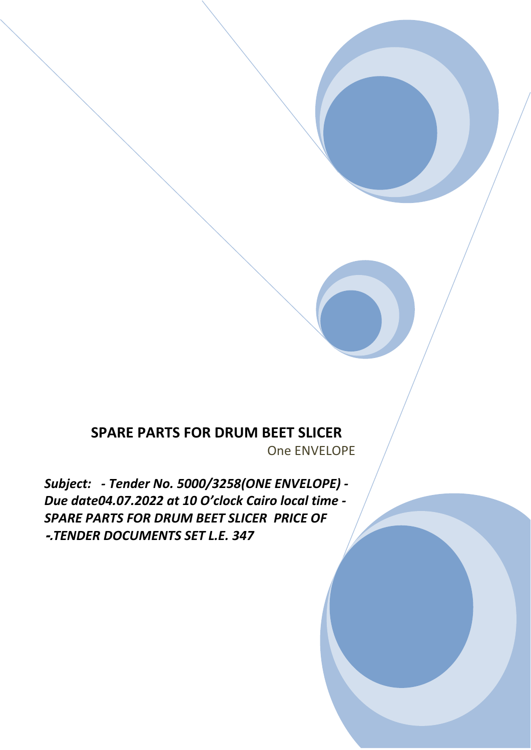## **SPARE PARTS FOR DRUM BEET SLICER**

One ENVELOPE

*Subject: - Tender No. 5000/3258(ONE ENVELOPE) - Due date04.07.2022 at 10 O'clock Cairo local time - SPARE PARTS FOR DRUM BEET SLICER PRICE OF*  **-.***TENDER DOCUMENTS SET L.E. 347*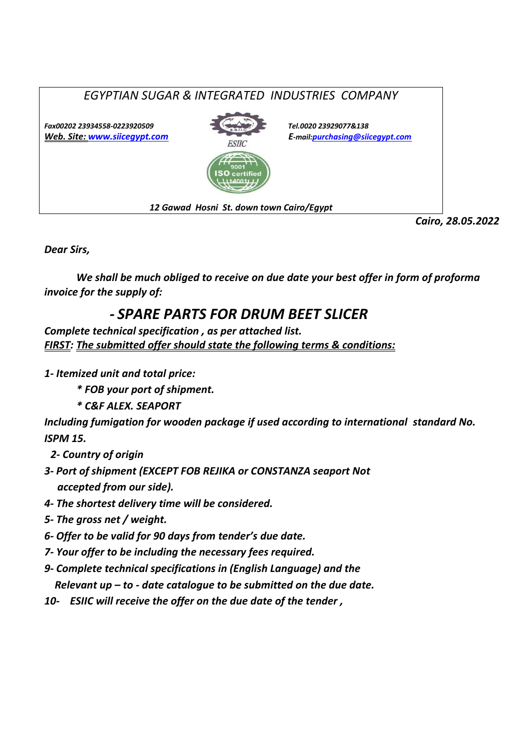

*Dear Sirs,*

*We shall be much obliged to receive on due date your best offer in form of proforma invoice for the supply of:*

## *- SPARE PARTS FOR DRUM BEET SLICER*

*Complete technical specification , as per attached list. FIRST: The submitted offer should state the following terms & conditions:*

- *1- Itemized unit and total price:* 
	- *\* FOB your port of shipment.*

*\* C&F ALEX. SEAPORT*

*Including fumigation for wooden package if used according to international standard No. ISPM 15.*

- *2- Country of origin*
- *3- Port of shipment (EXCEPT FOB REJIKA or CONSTANZA seaport Not accepted from our side).*
- *4- The shortest delivery time will be considered.*
- *5- The gross net / weight.*
- *6- Offer to be valid for 90 days from tender's due date.*
- *7- Your offer to be including the necessary fees required.*
- *9- Complete technical specifications in (English Language) and the Relevant up – to - date catalogue to be submitted on the due date.*
- *10- ESIIC will receive the offer on the due date of the tender ,*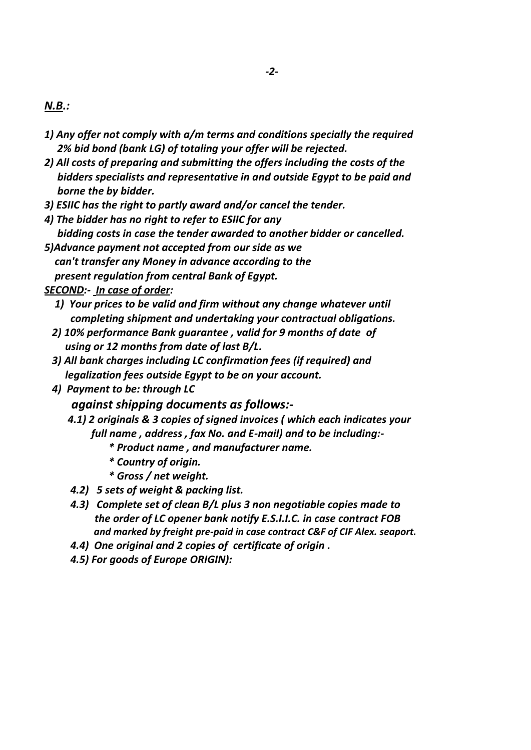- *1) Any offer not comply with a/m terms and conditions specially the required 2% bid bond (bank LG) of totaling your offer will be rejected.*
- *2) All costs of preparing and submitting the offers including the costs of the bidders specialists and representative in and outside Egypt to be paid and borne the by bidder.*
- *3) ESIIC has the right to partly award and/or cancel the tender.*
- *4) The bidder has no right to refer to ESIIC for any bidding costs in case the tender awarded to another bidder or cancelled.*
- *5)Advance payment not accepted from our side as we can't transfer any Money in advance according to the present regulation from central Bank of Egypt.*

## *SECOND:- In case of order:*

- *1) Your prices to be valid and firm without any change whatever until completing shipment and undertaking your contractual obligations.*
- *2) 10% performance Bank guarantee , valid for 9 months of date of using or 12 months from date of last B/L.*
- *3) All bank charges including LC confirmation fees (if required) and legalization fees outside Egypt to be on your account.*
- *4) Payment to be: through LC*

 *against shipping documents as follows:-*

- *4.1) 2 originals & 3 copies of signed invoices ( which each indicates your full name , address , fax No. and E-mail) and to be including:-*
	- *\* Product name , and manufacturer name.*
	- *\* Country of origin.*
	- *\* Gross / net weight.*
- *4.2) 5 sets of weight & packing list.*
- *4.3) Complete set of clean B/L plus 3 non negotiable copies made to the order of LC opener bank notify E.S.I.I.C. in case contract FOB and marked by freight pre-paid in case contract C&F of CIF Alex. seaport.*
- *4.4) One original and 2 copies of certificate of origin .*
- *4.5) For goods of Europe ORIGIN):*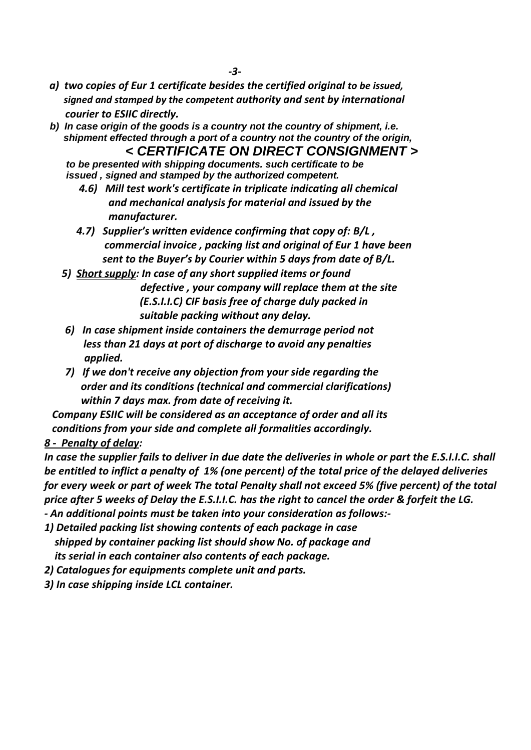- *a) two copies of Eur 1 certificate besides the certified original to be issued, signed and stamped by the competent authority and sent by international courier to ESIIC directly.*
- *b) In case origin of the goods is a country not the country of shipment, i.e. shipment effected through a port of a country not the country of the origin, < CERTIFICATE ON DIRECT CONSIGNMENT >*
	- *to be presented with shipping documents. such certificate to be issued , signed and stamped by the authorized competent.*
		- *4.6) Mill test work's certificate in triplicate indicating all chemical and mechanical analysis for material and issued by the manufacturer.*
		- *4.7) Supplier's written evidence confirming that copy of: B/L , commercial invoice , packing list and original of Eur 1 have been sent to the Buyer's by Courier within 5 days from date of B/L.*
	- *5) Short supply: In case of any short supplied items or found defective , your company will replace them at the site (E.S.I.I.C) CIF basis free of charge duly packed in suitable packing without any delay.*
	- *6) In case shipment inside containers the demurrage period not less than 21 days at port of discharge to avoid any penalties applied.*
	- *7) If we don't receive any objection from your side regarding the order and its conditions (technical and commercial clarifications) within 7 days max. from date of receiving it.*

 *Company ESIIC will be considered as an acceptance of order and all its conditions from your side and complete all formalities accordingly.*

*8 - Penalty of delay:* 

*In case the supplier fails to deliver in due date the deliveries in whole or part the E.S.I.I.C. shall be entitled to inflict a penalty of 1% (one percent) of the total price of the delayed deliveries for every week or part of week The total Penalty shall not exceed 5% (five percent) of the total price after 5 weeks of Delay the E.S.I.I.C. has the right to cancel the order & forfeit the LG. - An additional points must be taken into your consideration as follows:-*

- *1) Detailed packing list showing contents of each package in case shipped by container packing list should show No. of package and its serial in each container also contents of each package.*
- *2) Catalogues for equipments complete unit and parts.*
- *3) In case shipping inside LCL container.*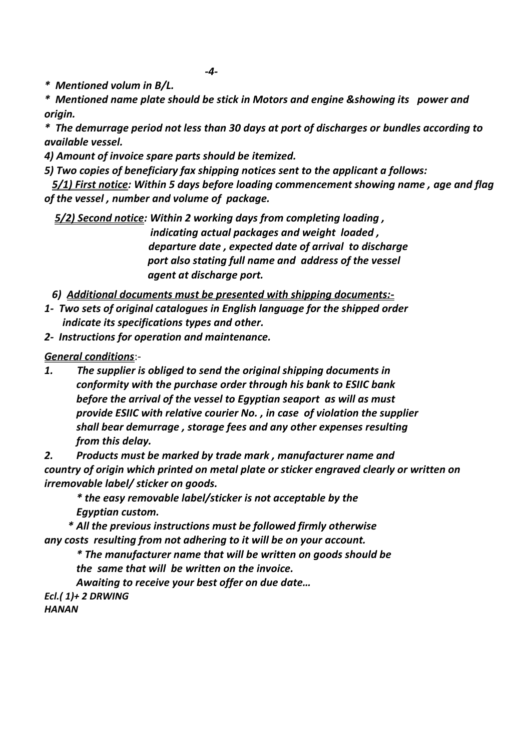*-4-*

*\* Mentioned volum in B/L.* 

*\* Mentioned name plate should be stick in Motors and engine &showing its power and origin.*

*\* The demurrage period not less than 30 days at port of discharges or bundles according to available vessel.*

*4) Amount of invoice spare parts should be itemized.* 

*5) Two copies of beneficiary fax shipping notices sent to the applicant a follows:*

 *5/1) First notice: Within 5 days before loading commencement showing name , age and flag of the vessel , number and volume of package.*

 *5/2) Second notice: Within 2 working days from completing loading , indicating actual packages and weight loaded , departure date , expected date of arrival to discharge port also stating full name and address of the vessel agent at discharge port.*

 *6) Additional documents must be presented with shipping documents:-*

- *1- Two sets of original catalogues in English language for the shipped order indicate its specifications types and other.*
- *2- Instructions for operation and maintenance.*

*General conditions*:-

*1. The supplier is obliged to send the original shipping documents in conformity with the purchase order through his bank to ESIIC bank before the arrival of the vessel to Egyptian seaport as will as must provide ESIIC with relative courier No. , in case of violation the supplier shall bear demurrage , storage fees and any other expenses resulting from this delay.*

*2. Products must be marked by trade mark , manufacturer name and country of origin which printed on metal plate or sticker engraved clearly or written on irremovable label/ sticker on goods.* 

*\* the easy removable label/sticker is not acceptable by the Egyptian custom.*

 *\* All the previous instructions must be followed firmly otherwise any costs resulting from not adhering to it will be on your account.* 

*\* The manufacturer name that will be written on goods should be the same that will be written on the invoice.*

*Awaiting to receive your best offer on due date… Ecl.( 1)+ 2 DRWING HANAN*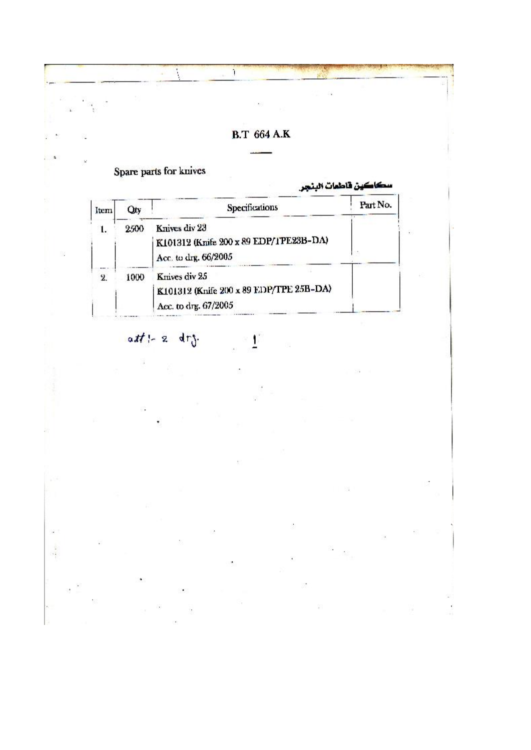

Ł

 $att \vdash z \cdot dr$ 

ò.

d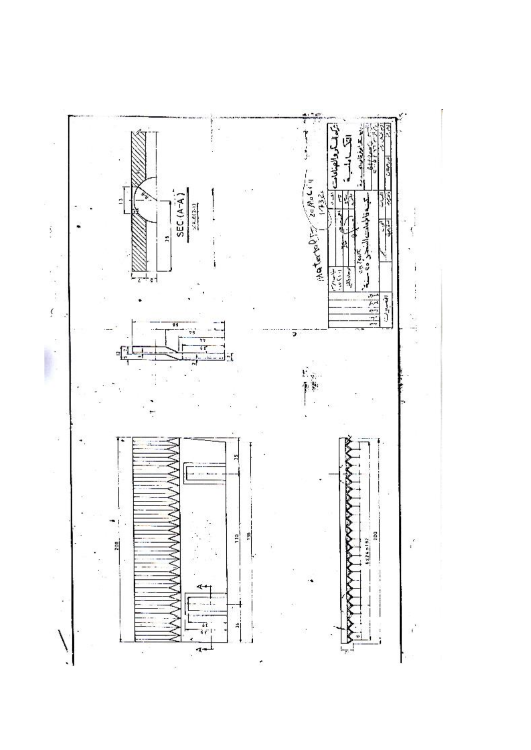